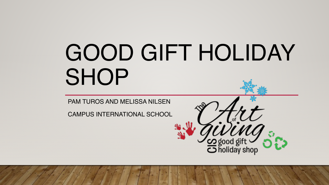# GOOD GIFT HOLIDAY **SHOP**

PAM TUROS AND MELISSA NILSEN

CAMPUS INTERNATIONAL SCHOOL

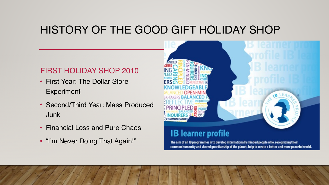## HISTORY OF THE GOOD GIFT HOLIDAY SHOP

### FIRST HOLIDAY SHOP 2010

- First Year: The Dollar Store Experiment
- Second/Third Year: Mass Produced Junk
- Financial Loss and Pure Chaos
- "I'm Never Doing That Again!"



### **IB learner profile**

The aim of all IB programmes is to develop internationally minded people who, recognizing their common humanity and shared guardianship of the planet, help to create a better and more peaceful world.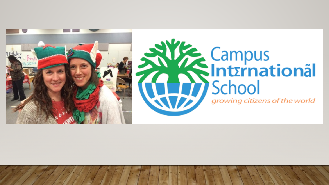

# **SAVE Campus** School<br>growing citizens of the world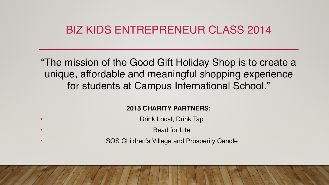### BIZ KIDS ENTREPRENEUR CLASS 2014

"The mission of the Good Gift Holiday Shop is to create a unique, affordable and meaningful shopping experience for students at Campus International School."

### **2015 CHARITY PARTNERS:**

- Drink Local, Drink Tap
- **Bead for Life**
- SOS Children's Village and Prosperity Candle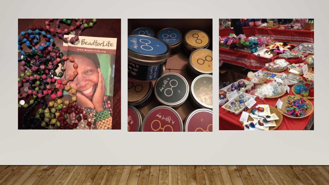



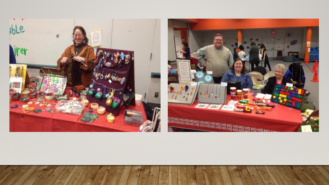

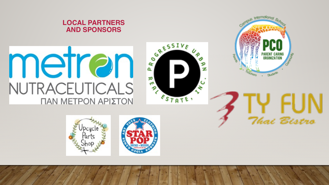









**LOCAL PARTNERS** 

**AND SPONSORS**

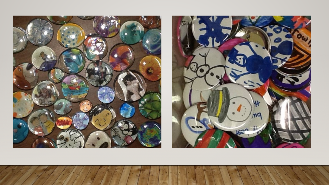

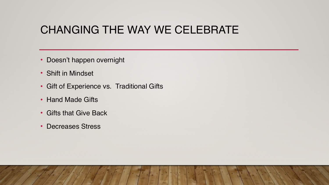# CHANGING THE WAY WE CELEBRATE

- Doesn't happen overnight
- Shift in Mindset
- Gift of Experience vs. Traditional Gifts
- Hand Made Gifts
- Gifts that Give Back
- Decreases Stress